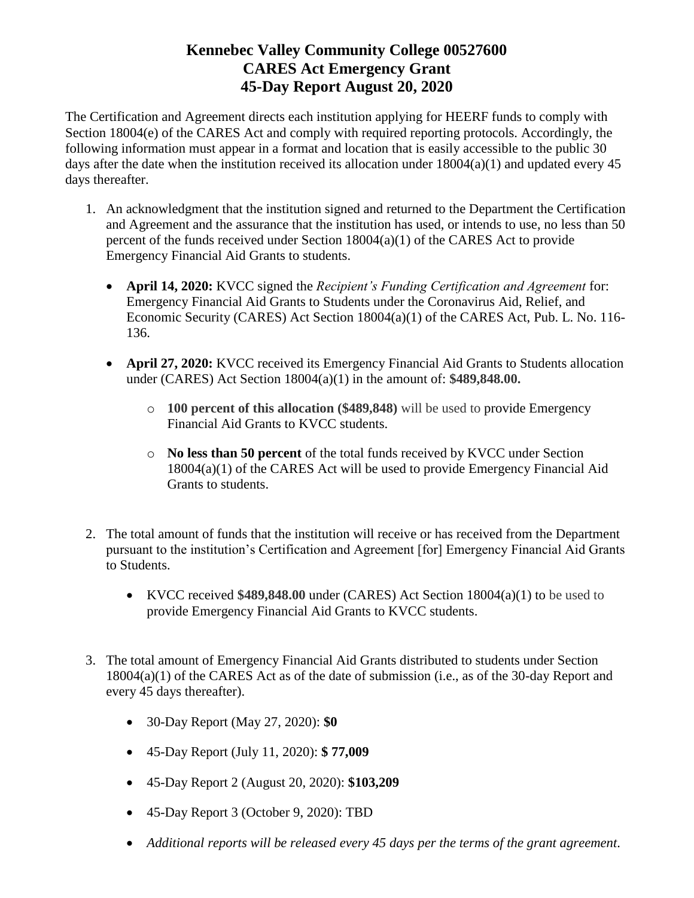The Certification and Agreement directs each institution applying for HEERF funds to comply with Section 18004(e) of the CARES Act and comply with required reporting protocols. Accordingly, the following information must appear in a format and location that is easily accessible to the public 30 days after the date when the institution received its allocation under  $18004(a)(1)$  and updated every 45 days thereafter.

- 1. An acknowledgment that the institution signed and returned to the Department the Certification and Agreement and the assurance that the institution has used, or intends to use, no less than 50 percent of the funds received under Section 18004(a)(1) of the CARES Act to provide Emergency Financial Aid Grants to students.
	- **April 14, 2020:** KVCC signed the *Recipient's Funding Certification and Agreement* for: Emergency Financial Aid Grants to Students under the Coronavirus Aid, Relief, and Economic Security (CARES) Act Section 18004(a)(1) of the CARES Act, Pub. L. No. 116- 136.
	- **April 27, 2020:** KVCC received its Emergency Financial Aid Grants to Students allocation under (CARES) Act Section 18004(a)(1) in the amount of: **\$489,848.00.** 
		- o **100 percent of this allocation (\$489,848)** will be used to provide Emergency Financial Aid Grants to KVCC students.
		- o **No less than 50 percent** of the total funds received by KVCC under Section 18004(a)(1) of the CARES Act will be used to provide Emergency Financial Aid Grants to students.
- 2. The total amount of funds that the institution will receive or has received from the Department pursuant to the institution's Certification and Agreement [for] Emergency Financial Aid Grants to Students.
	- KVCC received **\$489,848.00** under (CARES) Act Section 18004(a)(1) to be used to provide Emergency Financial Aid Grants to KVCC students.
- 3. The total amount of Emergency Financial Aid Grants distributed to students under Section 18004(a)(1) of the CARES Act as of the date of submission (i.e., as of the 30-day Report and every 45 days thereafter).
	- 30-Day Report (May 27, 2020): **\$0**
	- 45-Day Report (July 11, 2020): **\$ 77,009**
	- 45-Day Report 2 (August 20, 2020): **\$103,209**
	- 45-Day Report 3 (October 9, 2020): TBD
	- *Additional reports will be released every 45 days per the terms of the grant agreement.*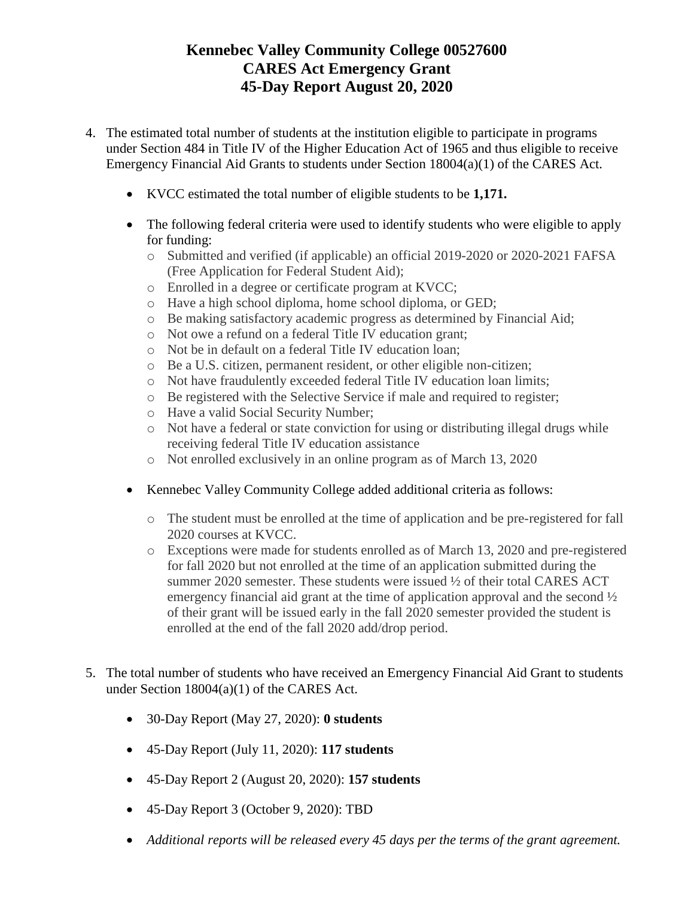- 4. The estimated total number of students at the institution eligible to participate in programs under Section 484 in Title IV of the Higher Education Act of 1965 and thus eligible to receive Emergency Financial Aid Grants to students under Section 18004(a)(1) of the CARES Act.
	- KVCC estimated the total number of eligible students to be **1,171.**
	- The following federal criteria were used to identify students who were eligible to apply for funding:
		- o Submitted and verified (if applicable) an official 2019-2020 or 2020-2021 FAFSA (Free Application for Federal Student Aid);
		- o Enrolled in a degree or certificate program at KVCC;
		- o Have a high school diploma, home school diploma, or GED;
		- o Be making satisfactory academic progress as determined by Financial Aid;
		- o Not owe a refund on a federal Title IV education grant;
		- o Not be in default on a federal Title IV education loan;
		- o Be a U.S. citizen, permanent resident, or other eligible non-citizen;
		- o Not have fraudulently exceeded federal Title IV education loan limits;
		- o Be registered with the Selective Service if male and required to register;
		- o Have a valid Social Security Number;
		- o Not have a federal or state conviction for using or distributing illegal drugs while receiving federal Title IV education assistance
		- o Not enrolled exclusively in an online program as of March 13, 2020
	- Kennebec Valley Community College added additional criteria as follows:
		- o The student must be enrolled at the time of application and be pre-registered for fall 2020 courses at KVCC.
		- o Exceptions were made for students enrolled as of March 13, 2020 and pre-registered for fall 2020 but not enrolled at the time of an application submitted during the summer 2020 semester. These students were issued  $\frac{1}{2}$  of their total CARES ACT emergency financial aid grant at the time of application approval and the second ½ of their grant will be issued early in the fall 2020 semester provided the student is enrolled at the end of the fall 2020 add/drop period.
- 5. The total number of students who have received an Emergency Financial Aid Grant to students under Section 18004(a)(1) of the CARES Act.
	- 30-Day Report (May 27, 2020): **0 students**
	- 45-Day Report (July 11, 2020): **117 students**
	- 45-Day Report 2 (August 20, 2020): **157 students**
	- 45-Day Report 3 (October 9, 2020): TBD
	- *Additional reports will be released every 45 days per the terms of the grant agreement.*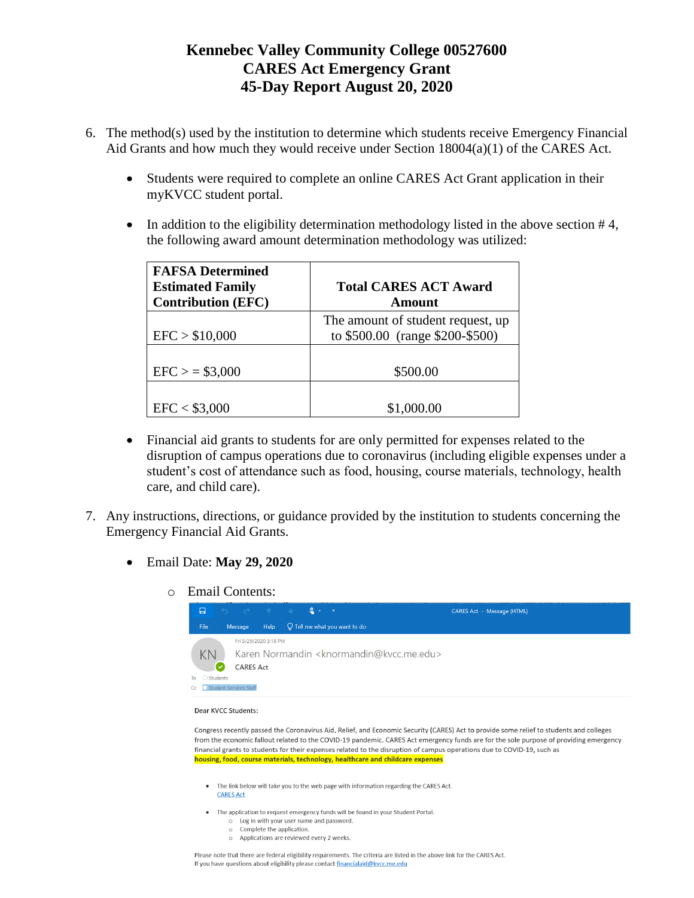- 6. The method(s) used by the institution to determine which students receive Emergency Financial Aid Grants and how much they would receive under Section 18004(a)(1) of the CARES Act.
	- Students were required to complete an online CARES Act Grant application in their myKVCC student portal.
	- In addition to the eligibility determination methodology listed in the above section  $#4$ , the following award amount determination methodology was utilized:

| <b>FAFSA Determined</b><br><b>Estimated Family</b><br><b>Contribution (EFC)</b> | <b>Total CARES ACT Award</b><br>Amount                               |
|---------------------------------------------------------------------------------|----------------------------------------------------------------------|
| EFC > \$10,000                                                                  | The amount of student request, up<br>to \$500.00 (range \$200-\$500) |
| $EFC$ > = \$3,000                                                               | \$500.00                                                             |
| EFC < \$3,000                                                                   | \$1,000.00                                                           |

- Financial aid grants to students for are only permitted for expenses related to the disruption of campus operations due to coronavirus (including eligible expenses under a student's cost of attendance such as food, housing, course materials, technology, health care, and child care).
- 7. Any instructions, directions, or guidance provided by the institution to students concerning the Emergency Financial Aid Grants.
	- Email Date: **May 29, 2020**
		- o Email Contents:



### Dear KVCC Students:

Congress recently passed the Coronavirus Aid, Relief, and Economic Security (CARES) Act to provide some relief to students and colleges from the economic fallout related to the COVID-19 pandemic. CARES Act emergency funds are for the sole purpose of providing emergency financial grants to students for their expenses related to the disruption of campus operations due to COVID-19, such as housing, food, course materials, technology, healthcare and childcare expenses

- . The link below will take you to the web page with information regarding the CARES Act. **CARES Act**
- The application to request emergency funds will be found in your Student Portal. o Log in with your user name and password.
	- o Complete the application.
	- o Applications are reviewed every 2 weeks.

Please note that there are federal eligibility requirements. The criteria are listed in the above link for the CARES Act. If you have questions about eligibility please contact financialaid@kvcc.me.edu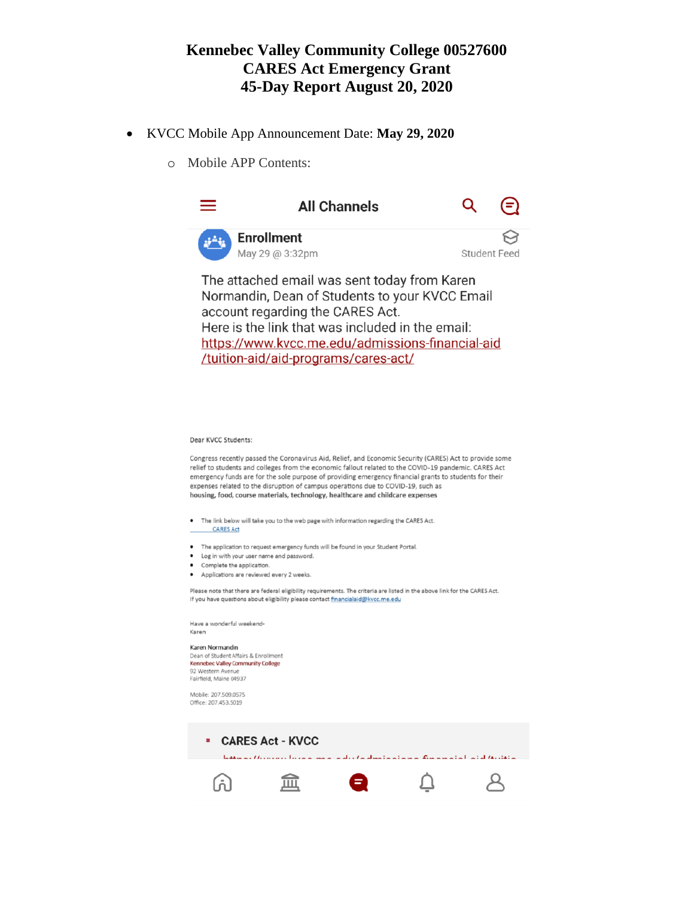- KVCC Mobile App Announcement Date: **May 29, 2020**
	- o Mobile APP Contents:



Here is the link that was included in the email: https://www.kvcc.me.edu/admissions-financial-aid /tuition-aid/aid-programs/cares-act/

#### Dear KVCC Students:

Congress recently passed the Coronavirus Aid, Relief, and Economic Security (CARES) Act to provide some relief to students and colleges from the economic fallout related to the COVID-19 pandemic. CARES Act emergency funds are for the sole purpose of providing emergency financial grants to students for their expenses related to the disruption of campus operations due to COVID-19, such as housing, food, course materials, technology, healthcare and childcare expenses

- The link below will take you to the web page with information regarding the CARES Act.
- **CARES Act**
- The application to request emergency funds will be found in your Student Portal.
- Log in with your user name and password.
- Complete the application.
- Applications are reviewed every 2 weeks.

Please note that there are federal eligibility requirements. The criteria are listed in the above link for the CARES Act. If you have questions about eligibility please contact financialaid@kvcc.me.edu

Have a wonderful weekend-Karen

#### Karen Normandin Dean of Student Affairs & Enrollment

Kennebec Valley Community College 92 Western Avenue Fairfield, Maine 04937

Mobile: 207.509.0575 Office: 207.453.5019

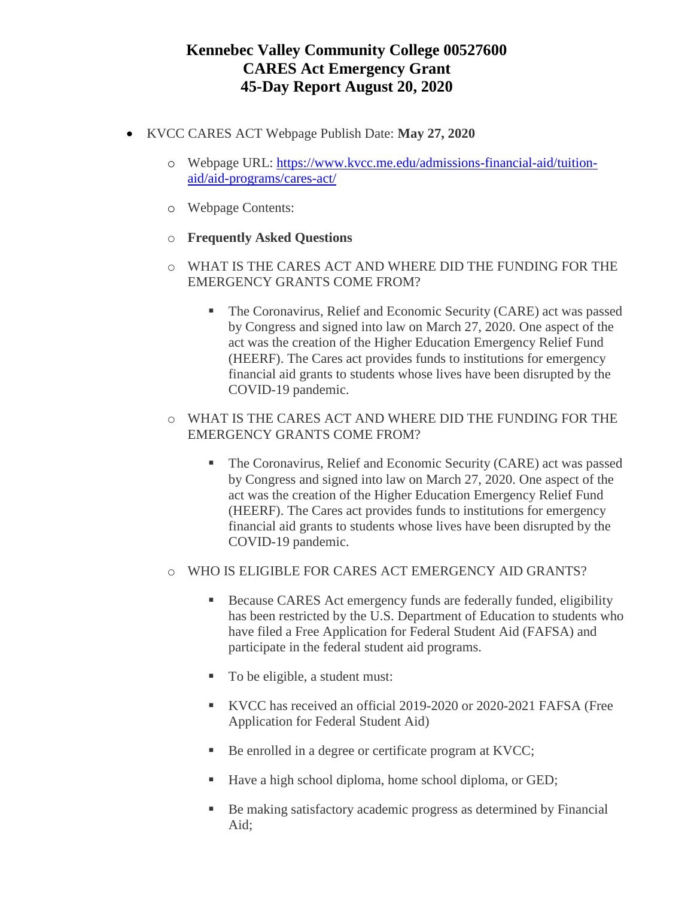- KVCC CARES ACT Webpage Publish Date: **May 27, 2020**
	- o Webpage URL: [https://www.kvcc.me.edu/admissions-financial-aid/tuition](https://www.kvcc.me.edu/admissions-financial-aid/tuition-aid/aid-programs/cares-act/)[aid/aid-programs/cares-act/](https://www.kvcc.me.edu/admissions-financial-aid/tuition-aid/aid-programs/cares-act/)
	- o Webpage Contents:
	- o **Frequently Asked Questions**
	- o WHAT IS THE CARES ACT AND WHERE DID THE FUNDING FOR THE EMERGENCY GRANTS COME FROM?
		- The Coronavirus, Relief and Economic Security (CARE) act was passed by Congress and signed into law on March 27, 2020. One aspect of the act was the creation of the Higher Education Emergency Relief Fund (HEERF). The Cares act provides funds to institutions for emergency financial aid grants to students whose lives have been disrupted by the COVID-19 pandemic.
	- o WHAT IS THE CARES ACT AND WHERE DID THE FUNDING FOR THE EMERGENCY GRANTS COME FROM?
		- The Coronavirus, Relief and Economic Security (CARE) act was passed by Congress and signed into law on March 27, 2020. One aspect of the act was the creation of the Higher Education Emergency Relief Fund (HEERF). The Cares act provides funds to institutions for emergency financial aid grants to students whose lives have been disrupted by the COVID-19 pandemic.
	- o WHO IS ELIGIBLE FOR CARES ACT EMERGENCY AID GRANTS?
		- Because CARES Act emergency funds are federally funded, eligibility has been restricted by the U.S. Department of Education to students who have filed a Free Application for Federal Student Aid (FAFSA) and participate in the federal student aid programs.
		- To be eligible, a student must:
		- KVCC has received an official 2019-2020 or 2020-2021 FAFSA (Free Application for Federal Student Aid)
		- Be enrolled in a degree or certificate program at KVCC;
		- Have a high school diploma, home school diploma, or GED;
		- Be making satisfactory academic progress as determined by Financial Aid;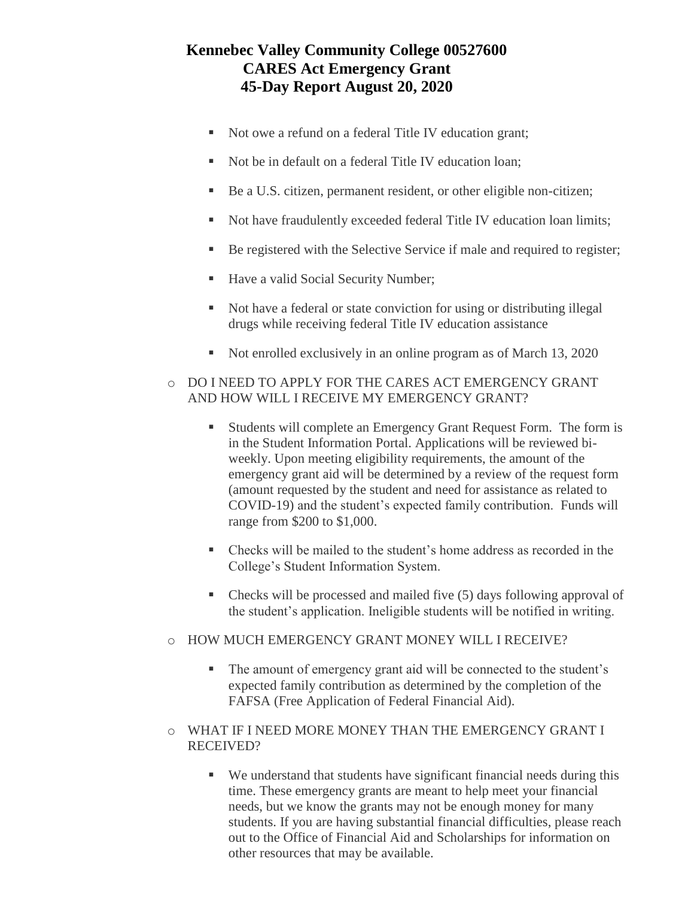- Not owe a refund on a federal Title IV education grant;
- Not be in default on a federal Title IV education loan;
- Be a U.S. citizen, permanent resident, or other eligible non-citizen;
- Not have fraudulently exceeded federal Title IV education loan limits;
- Be registered with the Selective Service if male and required to register;
- Have a valid Social Security Number;
- Not have a federal or state conviction for using or distributing illegal drugs while receiving federal Title IV education assistance
- Not enrolled exclusively in an online program as of March 13, 2020
- o DO I NEED TO APPLY FOR THE CARES ACT EMERGENCY GRANT AND HOW WILL I RECEIVE MY EMERGENCY GRANT?
	- Students will complete an Emergency Grant Request Form. The form is in the [Student Information Portal.](http://my.kvcc.me.edu/) Applications will be reviewed biweekly. Upon meeting eligibility requirements, the amount of the emergency grant aid will be determined by a review of the request form (amount requested by the student and need for assistance as related to COVID-19) and the student's expected family contribution. Funds will range from \$200 to \$1,000.
	- Checks will be mailed to the student's home address as recorded in the College's Student Information System.
	- Checks will be processed and mailed five (5) days following approval of the student's application. Ineligible students will be notified in writing.
- o HOW MUCH EMERGENCY GRANT MONEY WILL I RECEIVE?
	- The amount of emergency grant aid will be connected to the student's expected family contribution as determined by the completion of the FAFSA (Free Application of Federal Financial Aid).
- o WHAT IF I NEED MORE MONEY THAN THE EMERGENCY GRANT I RECEIVED?
	- We understand that students have significant financial needs during this time. These emergency grants are meant to help meet your financial needs, but we know the grants may not be enough money for many students. If you are having substantial financial difficulties, please reach out to the Office of Financial Aid and Scholarships for information on other resources that may be available.